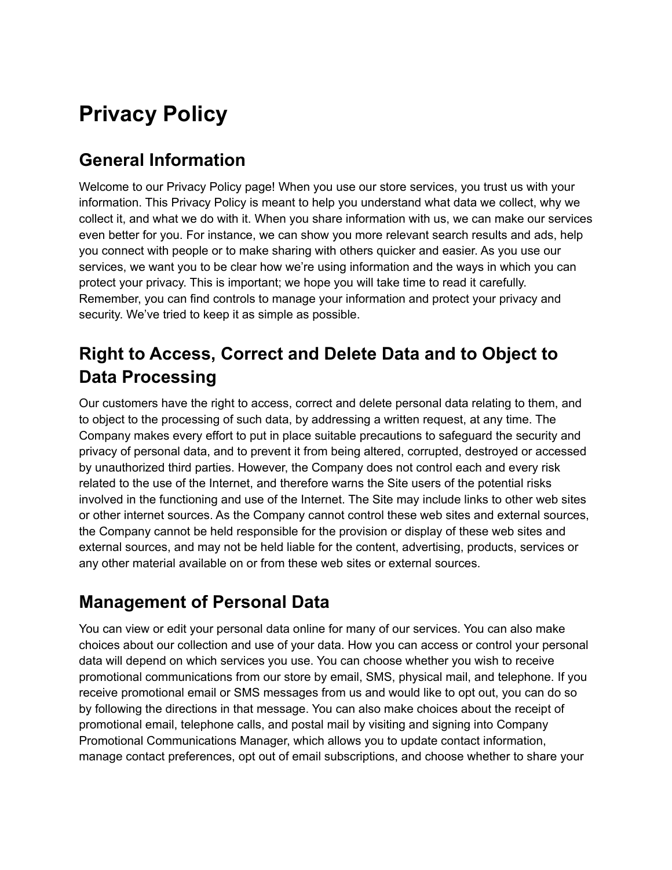# **Privacy Policy**

## **General Information**

Welcome to our Privacy Policy page! When you use our store services, you trust us with your information. This Privacy Policy is meant to help you understand what data we collect, why we collect it, and what we do with it. When you share information with us, we can make our services even better for you. For instance, we can show you more relevant search results and ads, help you connect with people or to make sharing with others quicker and easier. As you use our services, we want you to be clear how we're using information and the ways in which you can protect your privacy. This is important; we hope you will take time to read it carefully. Remember, you can find controls to manage your information and protect your privacy and security. We've tried to keep it as simple as possible.

## **Right to Access, Correct and Delete Data and to Object to Data Processing**

Our customers have the right to access, correct and delete personal data relating to them, and to object to the processing of such data, by addressing a written request, at any time. The Company makes every effort to put in place suitable precautions to safeguard the security and privacy of personal data, and to prevent it from being altered, corrupted, destroyed or accessed by unauthorized third parties. However, the Company does not control each and every risk related to the use of the Internet, and therefore warns the Site users of the potential risks involved in the functioning and use of the Internet. The Site may include links to other web sites or other internet sources. As the Company cannot control these web sites and external sources, the Company cannot be held responsible for the provision or display of these web sites and external sources, and may not be held liable for the content, advertising, products, services or any other material available on or from these web sites or external sources.

### **Management of Personal Data**

You can view or edit your personal data online for many of our services. You can also make choices about our collection and use of your data. How you can access or control your personal data will depend on which services you use. You can choose whether you wish to receive promotional communications from our store by email, SMS, physical mail, and telephone. If you receive promotional email or SMS messages from us and would like to opt out, you can do so by following the directions in that message. You can also make choices about the receipt of promotional email, telephone calls, and postal mail by visiting and signing into Company Promotional Communications Manager, which allows you to update contact information, manage contact preferences, opt out of email subscriptions, and choose whether to share your